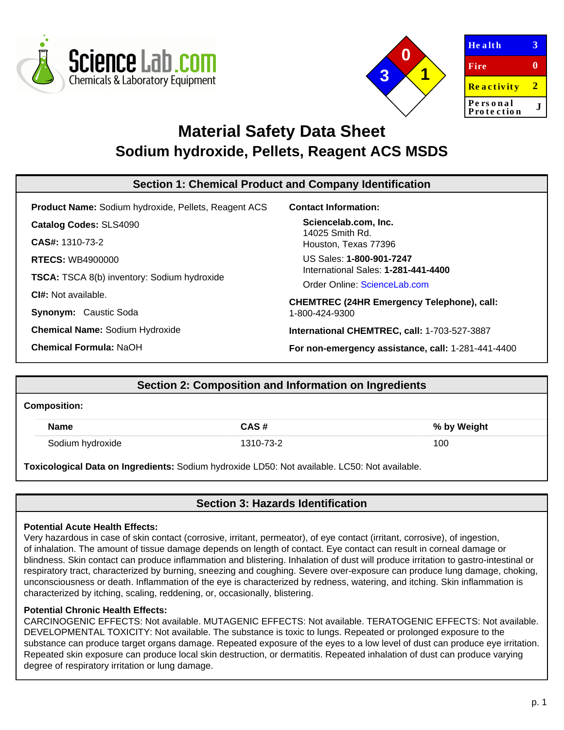



| <b>Health</b>          | З |
|------------------------|---|
| Fire                   | 0 |
| <b>Reactivity</b>      | 2 |
| Personal<br>Protection |   |
|                        |   |

# **Material Safety Data Sheet Sodium hydroxide, Pellets, Reagent ACS MSDS**

| Section 1: Chemical Product and Company Identification      |                                                    |  |  |  |
|-------------------------------------------------------------|----------------------------------------------------|--|--|--|
| <b>Product Name: Sodium hydroxide, Pellets, Reagent ACS</b> | <b>Contact Information:</b>                        |  |  |  |
| <b>Catalog Codes: SLS4090</b>                               | Sciencelab.com, Inc.                               |  |  |  |
| <b>CAS#: 1310-73-2</b>                                      | 14025 Smith Rd.<br>Houston, Texas 77396            |  |  |  |
| <b>RTECS: WB4900000</b>                                     | US Sales: 1-800-901-7247                           |  |  |  |
| TSCA: TSCA 8(b) inventory: Sodium hydroxide                 | International Sales: 1-281-441-4400                |  |  |  |
| <b>CI#:</b> Not available.                                  | Order Online: ScienceLab.com                       |  |  |  |
|                                                             | <b>CHEMTREC (24HR Emergency Telephone), call:</b>  |  |  |  |
| Synonym: Caustic Soda                                       | 1-800-424-9300                                     |  |  |  |
| <b>Chemical Name: Sodium Hydroxide</b>                      | International CHEMTREC, call: 1-703-527-3887       |  |  |  |
| <b>Chemical Formula: NaOH</b>                               | For non-emergency assistance, call: 1-281-441-4400 |  |  |  |
|                                                             |                                                    |  |  |  |

# **Section 2: Composition and Information on Ingredients**

### **Composition:**

| <b>Name</b>      | CAS#      | % by Weight |
|------------------|-----------|-------------|
| Sodium hydroxide | 1310-73-2 | 100         |

**Toxicological Data on Ingredients:** Sodium hydroxide LD50: Not available. LC50: Not available.

# **Section 3: Hazards Identification**

### **Potential Acute Health Effects:**

Very hazardous in case of skin contact (corrosive, irritant, permeator), of eye contact (irritant, corrosive), of ingestion, of inhalation. The amount of tissue damage depends on length of contact. Eye contact can result in corneal damage or blindness. Skin contact can produce inflammation and blistering. Inhalation of dust will produce irritation to gastro-intestinal or respiratory tract, characterized by burning, sneezing and coughing. Severe over-exposure can produce lung damage, choking, unconsciousness or death. Inflammation of the eye is characterized by redness, watering, and itching. Skin inflammation is characterized by itching, scaling, reddening, or, occasionally, blistering.

### **Potential Chronic Health Effects:**

CARCINOGENIC EFFECTS: Not available. MUTAGENIC EFFECTS: Not available. TERATOGENIC EFFECTS: Not available. DEVELOPMENTAL TOXICITY: Not available. The substance is toxic to lungs. Repeated or prolonged exposure to the substance can produce target organs damage. Repeated exposure of the eyes to a low level of dust can produce eye irritation. Repeated skin exposure can produce local skin destruction, or dermatitis. Repeated inhalation of dust can produce varying degree of respiratory irritation or lung damage.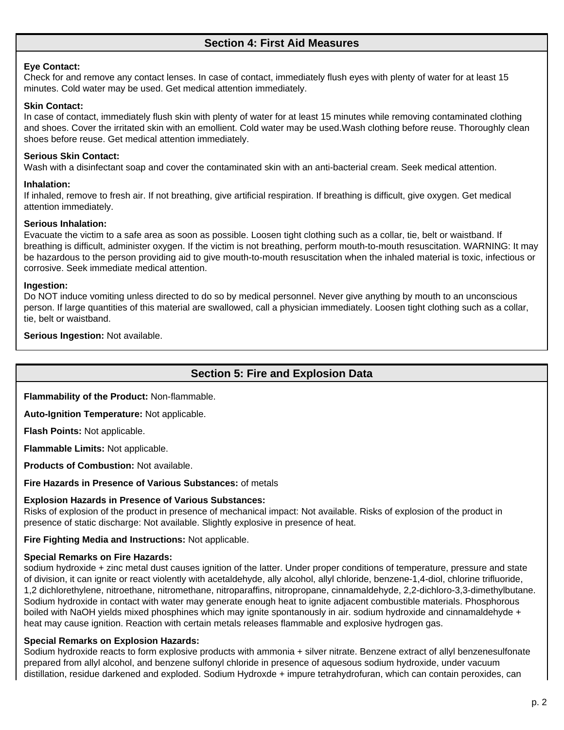# **Section 4: First Aid Measures**

#### **Eye Contact:**

Check for and remove any contact lenses. In case of contact, immediately flush eyes with plenty of water for at least 15 minutes. Cold water may be used. Get medical attention immediately.

#### **Skin Contact:**

In case of contact, immediately flush skin with plenty of water for at least 15 minutes while removing contaminated clothing and shoes. Cover the irritated skin with an emollient. Cold water may be used.Wash clothing before reuse. Thoroughly clean shoes before reuse. Get medical attention immediately.

#### **Serious Skin Contact:**

Wash with a disinfectant soap and cover the contaminated skin with an anti-bacterial cream. Seek medical attention.

#### **Inhalation:**

If inhaled, remove to fresh air. If not breathing, give artificial respiration. If breathing is difficult, give oxygen. Get medical attention immediately.

#### **Serious Inhalation:**

Evacuate the victim to a safe area as soon as possible. Loosen tight clothing such as a collar, tie, belt or waistband. If breathing is difficult, administer oxygen. If the victim is not breathing, perform mouth-to-mouth resuscitation. WARNING: It may be hazardous to the person providing aid to give mouth-to-mouth resuscitation when the inhaled material is toxic, infectious or corrosive. Seek immediate medical attention.

#### **Ingestion:**

Do NOT induce vomiting unless directed to do so by medical personnel. Never give anything by mouth to an unconscious person. If large quantities of this material are swallowed, call a physician immediately. Loosen tight clothing such as a collar, tie, belt or waistband.

**Serious Ingestion:** Not available.

### **Section 5: Fire and Explosion Data**

**Flammability of the Product:** Non-flammable.

**Auto-Ignition Temperature:** Not applicable.

**Flash Points:** Not applicable.

**Flammable Limits:** Not applicable.

**Products of Combustion:** Not available.

**Fire Hazards in Presence of Various Substances:** of metals

#### **Explosion Hazards in Presence of Various Substances:**

Risks of explosion of the product in presence of mechanical impact: Not available. Risks of explosion of the product in presence of static discharge: Not available. Slightly explosive in presence of heat.

**Fire Fighting Media and Instructions:** Not applicable.

#### **Special Remarks on Fire Hazards:**

sodium hydroxide + zinc metal dust causes ignition of the latter. Under proper conditions of temperature, pressure and state of division, it can ignite or react violently with acetaldehyde, ally alcohol, allyl chloride, benzene-1,4-diol, chlorine trifluoride, 1,2 dichlorethylene, nitroethane, nitromethane, nitroparaffins, nitropropane, cinnamaldehyde, 2,2-dichloro-3,3-dimethylbutane. Sodium hydroxide in contact with water may generate enough heat to ignite adjacent combustible materials. Phosphorous boiled with NaOH yields mixed phosphines which may ignite spontanously in air. sodium hydroxide and cinnamaldehyde + heat may cause ignition. Reaction with certain metals releases flammable and explosive hydrogen gas.

#### **Special Remarks on Explosion Hazards:**

Sodium hydroxide reacts to form explosive products with ammonia + silver nitrate. Benzene extract of allyl benzenesulfonate prepared from allyl alcohol, and benzene sulfonyl chloride in presence of aquesous sodium hydroxide, under vacuum distillation, residue darkened and exploded. Sodium Hydroxde + impure tetrahydrofuran, which can contain peroxides, can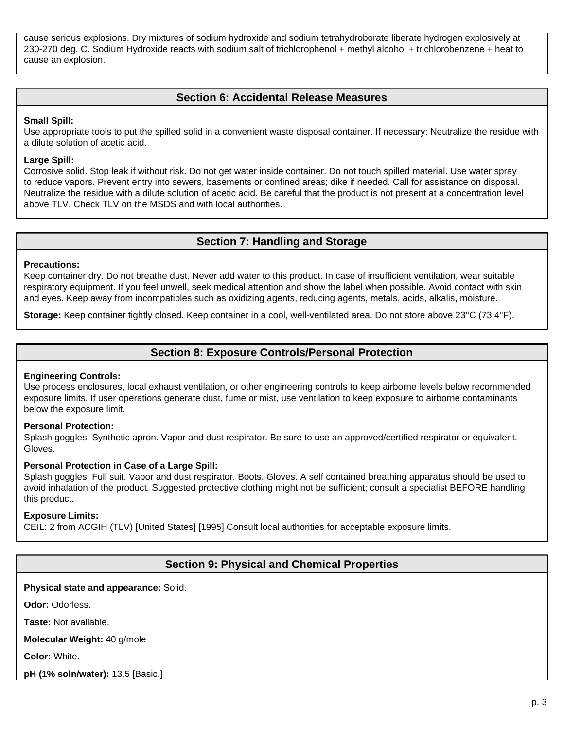cause serious explosions. Dry mixtures of sodium hydroxide and sodium tetrahydroborate liberate hydrogen explosively at 230-270 deg. C. Sodium Hydroxide reacts with sodium salt of trichlorophenol + methyl alcohol + trichlorobenzene + heat to cause an explosion.

# **Section 6: Accidental Release Measures**

#### **Small Spill:**

Use appropriate tools to put the spilled solid in a convenient waste disposal container. If necessary: Neutralize the residue with a dilute solution of acetic acid.

#### **Large Spill:**

Corrosive solid. Stop leak if without risk. Do not get water inside container. Do not touch spilled material. Use water spray to reduce vapors. Prevent entry into sewers, basements or confined areas; dike if needed. Call for assistance on disposal. Neutralize the residue with a dilute solution of acetic acid. Be careful that the product is not present at a concentration level above TLV. Check TLV on the MSDS and with local authorities.

### **Section 7: Handling and Storage**

#### **Precautions:**

Keep container dry. Do not breathe dust. Never add water to this product. In case of insufficient ventilation, wear suitable respiratory equipment. If you feel unwell, seek medical attention and show the label when possible. Avoid contact with skin and eyes. Keep away from incompatibles such as oxidizing agents, reducing agents, metals, acids, alkalis, moisture.

**Storage:** Keep container tightly closed. Keep container in a cool, well-ventilated area. Do not store above 23°C (73.4°F).

## **Section 8: Exposure Controls/Personal Protection**

#### **Engineering Controls:**

Use process enclosures, local exhaust ventilation, or other engineering controls to keep airborne levels below recommended exposure limits. If user operations generate dust, fume or mist, use ventilation to keep exposure to airborne contaminants below the exposure limit.

#### **Personal Protection:**

Splash goggles. Synthetic apron. Vapor and dust respirator. Be sure to use an approved/certified respirator or equivalent. Gloves.

#### **Personal Protection in Case of a Large Spill:**

Splash goggles. Full suit. Vapor and dust respirator. Boots. Gloves. A self contained breathing apparatus should be used to avoid inhalation of the product. Suggested protective clothing might not be sufficient; consult a specialist BEFORE handling this product.

#### **Exposure Limits:**

CEIL: 2 from ACGIH (TLV) [United States] [1995] Consult local authorities for acceptable exposure limits.

### **Section 9: Physical and Chemical Properties**

### **Physical state and appearance:** Solid.

**Odor:** Odorless.

**Taste:** Not available.

**Molecular Weight:** 40 g/mole

**Color:** White.

**pH (1% soln/water):** 13.5 [Basic.]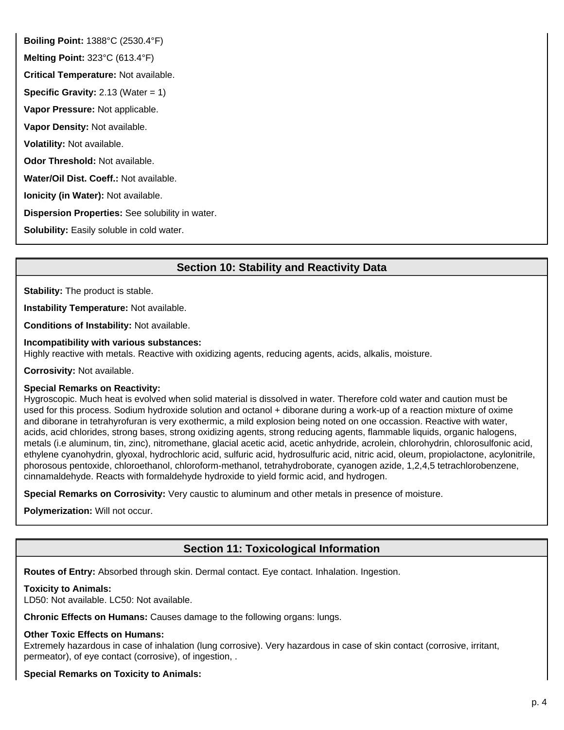**Boiling Point:** 1388°C (2530.4°F) **Melting Point:** 323°C (613.4°F) **Critical Temperature:** Not available. **Specific Gravity:** 2.13 (Water = 1) **Vapor Pressure:** Not applicable. **Vapor Density:** Not available. **Volatility:** Not available. **Odor Threshold:** Not available. **Water/Oil Dist. Coeff.:** Not available. **Ionicity (in Water):** Not available. **Dispersion Properties:** See solubility in water. **Solubility:** Easily soluble in cold water.

# **Section 10: Stability and Reactivity Data**

**Stability:** The product is stable.

**Instability Temperature:** Not available.

**Conditions of Instability:** Not available.

#### **Incompatibility with various substances:**

Highly reactive with metals. Reactive with oxidizing agents, reducing agents, acids, alkalis, moisture.

**Corrosivity:** Not available.

#### **Special Remarks on Reactivity:**

Hygroscopic. Much heat is evolved when solid material is dissolved in water. Therefore cold water and caution must be used for this process. Sodium hydroxide solution and octanol + diborane during a work-up of a reaction mixture of oxime and diborane in tetrahyrofuran is very exothermic, a mild explosion being noted on one occassion. Reactive with water, acids, acid chlorides, strong bases, strong oxidizing agents, strong reducing agents, flammable liquids, organic halogens, metals (i.e aluminum, tin, zinc), nitromethane, glacial acetic acid, acetic anhydride, acrolein, chlorohydrin, chlorosulfonic acid, ethylene cyanohydrin, glyoxal, hydrochloric acid, sulfuric acid, hydrosulfuric acid, nitric acid, oleum, propiolactone, acylonitrile, phorosous pentoxide, chloroethanol, chloroform-methanol, tetrahydroborate, cyanogen azide, 1,2,4,5 tetrachlorobenzene, cinnamaldehyde. Reacts with formaldehyde hydroxide to yield formic acid, and hydrogen.

**Special Remarks on Corrosivity:** Very caustic to aluminum and other metals in presence of moisture.

**Polymerization:** Will not occur.

# **Section 11: Toxicological Information**

**Routes of Entry:** Absorbed through skin. Dermal contact. Eye contact. Inhalation. Ingestion.

#### **Toxicity to Animals:**

LD50: Not available. LC50: Not available.

**Chronic Effects on Humans:** Causes damage to the following organs: lungs.

#### **Other Toxic Effects on Humans:**

Extremely hazardous in case of inhalation (lung corrosive). Very hazardous in case of skin contact (corrosive, irritant, permeator), of eye contact (corrosive), of ingestion, .

**Special Remarks on Toxicity to Animals:**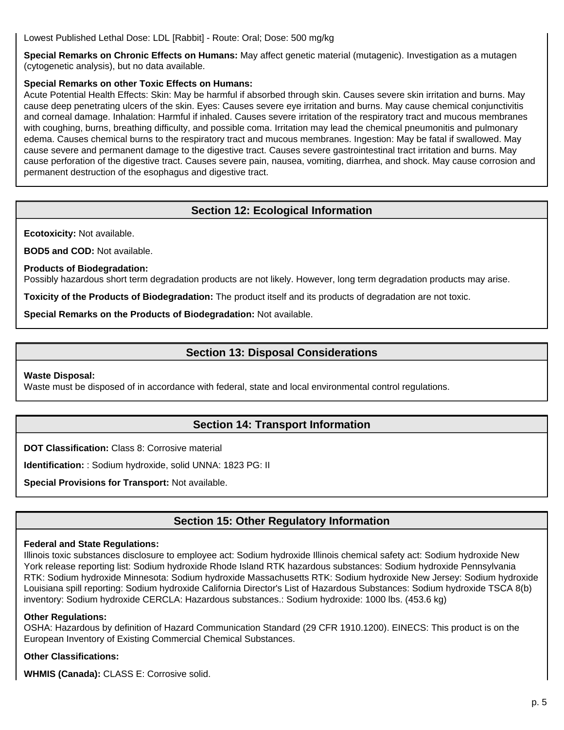Lowest Published Lethal Dose: LDL [Rabbit] - Route: Oral; Dose: 500 mg/kg

**Special Remarks on Chronic Effects on Humans:** May affect genetic material (mutagenic). Investigation as a mutagen (cytogenetic analysis), but no data available.

### **Special Remarks on other Toxic Effects on Humans:**

Acute Potential Health Effects: Skin: May be harmful if absorbed through skin. Causes severe skin irritation and burns. May cause deep penetrating ulcers of the skin. Eyes: Causes severe eye irritation and burns. May cause chemical conjunctivitis and corneal damage. Inhalation: Harmful if inhaled. Causes severe irritation of the respiratory tract and mucous membranes with coughing, burns, breathing difficulty, and possible coma. Irritation may lead the chemical pneumonitis and pulmonary edema. Causes chemical burns to the respiratory tract and mucous membranes. Ingestion: May be fatal if swallowed. May cause severe and permanent damage to the digestive tract. Causes severe gastrointestinal tract irritation and burns. May cause perforation of the digestive tract. Causes severe pain, nausea, vomiting, diarrhea, and shock. May cause corrosion and permanent destruction of the esophagus and digestive tract.

# **Section 12: Ecological Information**

**Ecotoxicity:** Not available.

**BOD5 and COD:** Not available.

**Products of Biodegradation:**

Possibly hazardous short term degradation products are not likely. However, long term degradation products may arise.

**Toxicity of the Products of Biodegradation:** The product itself and its products of degradation are not toxic.

**Special Remarks on the Products of Biodegradation:** Not available.

# **Section 13: Disposal Considerations**

**Waste Disposal:**

Waste must be disposed of in accordance with federal, state and local environmental control regulations.

# **Section 14: Transport Information**

**DOT Classification:** Class 8: Corrosive material

**Identification:** : Sodium hydroxide, solid UNNA: 1823 PG: II

**Special Provisions for Transport:** Not available.

# **Section 15: Other Regulatory Information**

#### **Federal and State Regulations:**

Illinois toxic substances disclosure to employee act: Sodium hydroxide Illinois chemical safety act: Sodium hydroxide New York release reporting list: Sodium hydroxide Rhode Island RTK hazardous substances: Sodium hydroxide Pennsylvania RTK: Sodium hydroxide Minnesota: Sodium hydroxide Massachusetts RTK: Sodium hydroxide New Jersey: Sodium hydroxide Louisiana spill reporting: Sodium hydroxide California Director's List of Hazardous Substances: Sodium hydroxide TSCA 8(b) inventory: Sodium hydroxide CERCLA: Hazardous substances.: Sodium hydroxide: 1000 lbs. (453.6 kg)

### **Other Regulations:**

OSHA: Hazardous by definition of Hazard Communication Standard (29 CFR 1910.1200). EINECS: This product is on the European Inventory of Existing Commercial Chemical Substances.

### **Other Classifications:**

**WHMIS (Canada):** CLASS E: Corrosive solid.